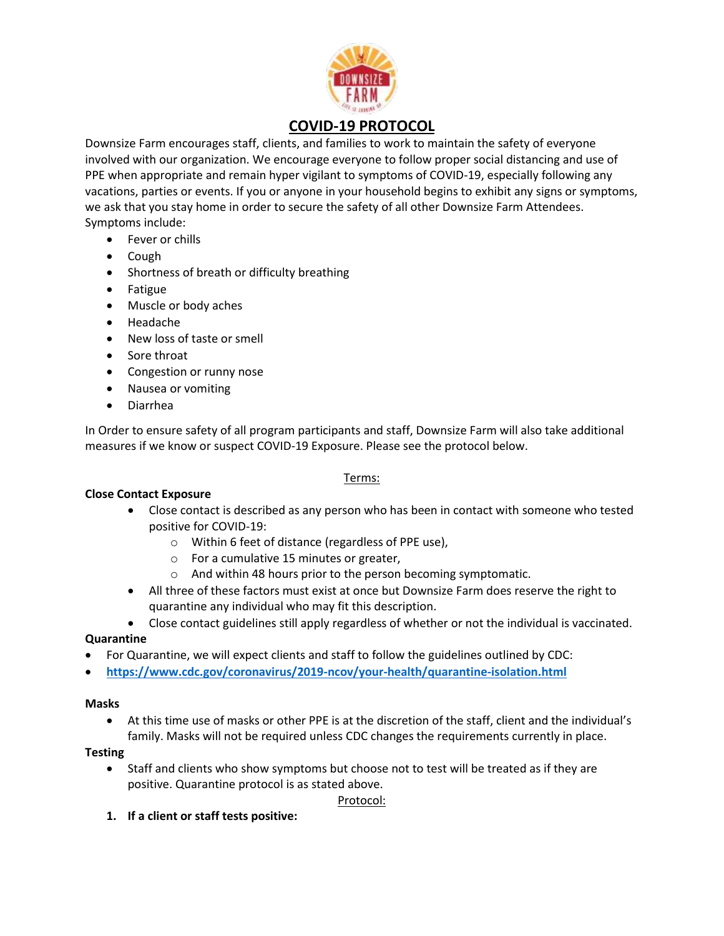

# **COVID-19 PROTOCOL**

Downsize Farm encourages staff, clients, and families to work to maintain the safety of everyone involved with our organization. We encourage everyone to follow proper social distancing and use of PPE when appropriate and remain hyper vigilant to symptoms of COVID-19, especially following any vacations, parties or events. If you or anyone in your household begins to exhibit any signs or symptoms, we ask that you stay home in order to secure the safety of all other Downsize Farm Attendees. Symptoms include:

- Fever or chills
- Cough
- Shortness of breath or difficulty breathing
- Fatigue
- Muscle or body aches
- Headache
- New loss of taste or smell
- Sore throat
- Congestion or runny nose
- Nausea or vomiting
- Diarrhea

In Order to ensure safety of all program participants and staff, Downsize Farm will also take additional measures if we know or suspect COVID-19 Exposure. Please see the protocol below.

# Terms:

# **Close Contact Exposure**

- Close contact is described as any person who has been in contact with someone who tested positive for COVID-19:
	- o Within 6 feet of distance (regardless of PPE use),
	- o For a cumulative 15 minutes or greater,
	- o And within 48 hours prior to the person becoming symptomatic.
- All three of these factors must exist at once but Downsize Farm does reserve the right to quarantine any individual who may fit this description.
- Close contact guidelines still apply regardless of whether or not the individual is vaccinated.

# **Quarantine**

- For Quarantine, we will expect clients and staff to follow the guidelines outlined by CDC:
- **<https://www.cdc.gov/coronavirus/2019-ncov/your-health/quarantine-isolation.html>**

#### **Masks**

• At this time use of masks or other PPE is at the discretion of the staff, client and the individual's family. Masks will not be required unless CDC changes the requirements currently in place.

# **Testing**

• Staff and clients who show symptoms but choose not to test will be treated as if they are positive. Quarantine protocol is as stated above.

# Protocol:

**1. If a client or staff tests positive:**